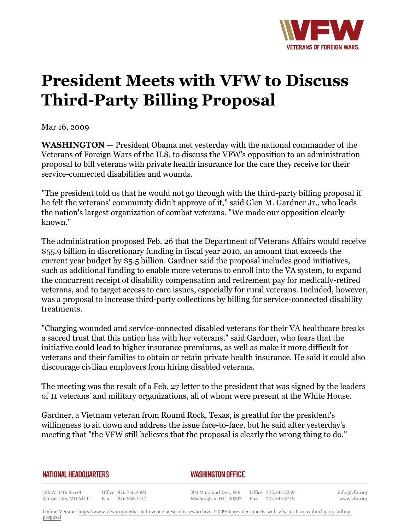

## **President Meets with VFW to Discuss Third-Party Billing Proposal**

Mar 16, 2009

**WASHINGTON** *—* President Obama met yesterday with the national commander of the Veterans of Foreign Wars of the U.S. to discuss the VFW's opposition to an administration proposal to bill veterans with private health insurance for the care they receive for their service-connected disabilities and wounds.

"The president told us that he would not go through with the third-party billing proposal if he felt the veterans' community didn't approve of it," said Glen M. Gardner Jr., who leads the nation's largest organization of combat veterans. "We made our opposition clearly known."

The administration proposed Feb. 26 that the Department of Veterans Affairs would receive \$55.9 billion in discretionary funding in fiscal year 2010, an amount that exceeds the current year budget by \$5.5 billion. Gardner said the proposal includes good initiatives, such as additional funding to enable more veterans to enroll into the VA system, to expand the concurrent receipt of disability compensation and retirement pay for medically-retired veterans, and to target access to care issues, especially for rural veterans. Included, however, was a proposal to increase third-party collections by billing for service-connected disability treatments.

"Charging wounded and service-connected disabled veterans for their VA healthcare breaks a sacred trust that this nation has with her veterans," said Gardner, who fears that the initiative could lead to higher insurance premiums, as well as make it more difficult for veterans and their families to obtain or retain private health insurance. He said it could also discourage civilian employers from hiring disabled veterans.

The meeting was the result of a Feb. 27 letter to the president that was signed by the leaders of 11 veterans' and military organizations, all of whom were present at the White House.

Gardner, a Vietnam veteran from Round Rock, Texas, is greatful for the president's willingness to sit down and address the issue face-to-face, but he said after yesterday's meeting that "the VFW still believes that the proposal is clearly the wrong thing to do."

## **NATIONAL HEADQUARTERS**

## *WASHINGTON OFFICE*

406 W. 34th Street Office 816.756.3390 Kansas City, MO 64111 Fax 816.968.1157

200 Maryland Ave., N.E. Washington, D.C. 20002

Office 202.543.2239 Fax 202.543.6719 info@vfw.org www.vfw.org

Online Version: [https://www.vfw.org/media-and-events/latest-releases/archives/2009/3/president-meets-with-vfw-to-discuss-third-party-billing](https://www.vfw.org/media-and-events/latest-releases/archives/2009/3/president-meets-with-vfw-to-discuss-third-party-billing-proposal)[proposal](https://www.vfw.org/media-and-events/latest-releases/archives/2009/3/president-meets-with-vfw-to-discuss-third-party-billing-proposal)